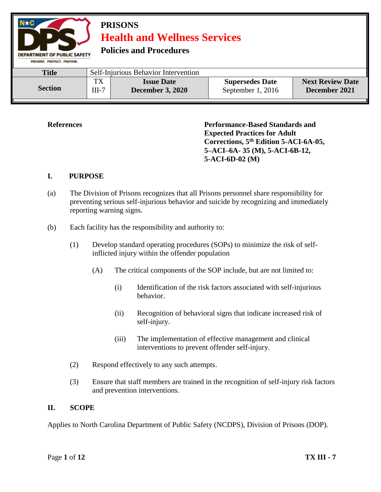

**References Performance-Based Standards and Expected Practices for Adult Corrections, 5th Edition 5-ACI-6A-05, 5–ACI–6A- 35 (M), 5-ACI-6B-12, 5-ACI-6D-02 (M)**

#### **I. PURPOSE**

- (a) The Division of Prisons recognizes that all Prisons personnel share responsibility for preventing serious self-injurious behavior and suicide by recognizing and immediately reporting warning signs.
- (b) Each facility has the responsibility and authority to:
	- (1) Develop standard operating procedures (SOPs) to minimize the risk of selfinflicted injury within the offender population
		- (A) The critical components of the SOP include, but are not limited to:
			- (i) Identification of the risk factors associated with self-injurious behavior.
			- (ii) Recognition of behavioral signs that indicate increased risk of self-injury.
			- (iii) The implementation of effective management and clinical interventions to prevent offender self-injury.
	- (2) Respond effectively to any such attempts.
	- (3) Ensure that staff members are trained in the recognition of self-injury risk factors and prevention interventions.

#### **II. SCOPE**

Applies to North Carolina Department of Public Safety (NCDPS), Division of Prisons (DOP).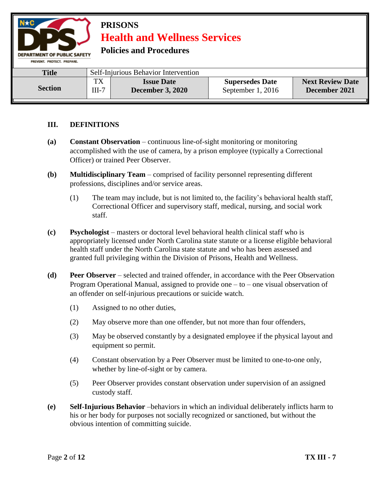

**Policies and Procedures** 

| <b>Title</b>   | Self-Injurious Behavior Intervention |                         |                        |                         |
|----------------|--------------------------------------|-------------------------|------------------------|-------------------------|
| <b>Section</b> | TX                                   | <b>Issue Date</b>       | <b>Supersedes Date</b> | <b>Next Review Date</b> |
|                | $III-7$                              | <b>December 3, 2020</b> | September 1, 2016      | December 2021           |

### **III. DEFINITIONS**

- **(a) Constant Observation**  continuous line-of-sight monitoring or monitoring accomplished with the use of camera, by a prison employee (typically a Correctional Officer) or trained Peer Observer.
- **(b) Multidisciplinary Team**  comprised of facility personnel representing different professions, disciplines and/or service areas.
	- (1) The team may include, but is not limited to, the facility's behavioral health staff, Correctional Officer and supervisory staff, medical, nursing, and social work staff.
- **(c) Psychologist**  masters or doctoral level behavioral health clinical staff who is appropriately licensed under North Carolina state statute or a license eligible behavioral health staff under the North Carolina state statute and who has been assessed and granted full privileging within the Division of Prisons, Health and Wellness.
- **(d) Peer Observer**  selected and trained offender, in accordance with the Peer Observation Program Operational Manual, assigned to provide one – to – one visual observation of an offender on self-injurious precautions or suicide watch.
	- (1) Assigned to no other duties,
	- (2) May observe more than one offender, but not more than four offenders,
	- (3) May be observed constantly by a designated employee if the physical layout and equipment so permit.
	- (4) Constant observation by a Peer Observer must be limited to one-to-one only, whether by line-of-sight or by camera.
	- (5) Peer Observer provides constant observation under supervision of an assigned custody staff.
- **(e) Self-Injurious Behavior** –behaviors in which an individual deliberately inflicts harm to his or her body for purposes not socially recognized or sanctioned, but without the obvious intention of committing suicide.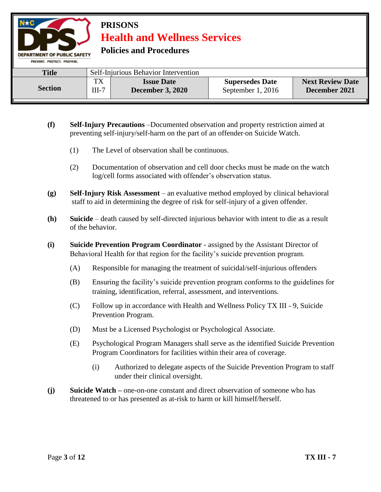

- **(f) Self-Injury Precautions** –Documented observation and property restriction aimed at preventing self-injury/self-harm on the part of an offender on Suicide Watch.
	- (1) The Level of observation shall be continuous.
	- (2) Documentation of observation and cell door checks must be made on the watch log/cell forms associated with offender's observation status.
- **(g) Self-Injury Risk Assessment**  an evaluative method employed by clinical behavioral staff to aid in determining the degree of risk for self-injury of a given offender.
- **(h) Suicide**  death caused by self-directed injurious behavior with intent to die as a result of the behavior.
- **(i) Suicide Prevention Program Coordinator** assigned by the Assistant Director of Behavioral Health for that region for the facility's suicide prevention program.
	- (A) Responsible for managing the treatment of suicidal/self-injurious offenders
	- (B) Ensuring the facility's suicide prevention program conforms to the guidelines for training, identification, referral, assessment, and interventions.
	- (C) Follow up in accordance with Health and Wellness Policy TX III 9, Suicide Prevention Program.
	- (D) Must be a Licensed Psychologist or Psychological Associate.
	- (E) Psychological Program Managers shall serve as the identified Suicide Prevention Program Coordinators for facilities within their area of coverage.
		- (i) Authorized to delegate aspects of the Suicide Prevention Program to staff under their clinical oversight.
- **(j) Suicide Watch –** one-on-one constant and direct observation of someone who has threatened to or has presented as at-risk to harm or kill himself/herself.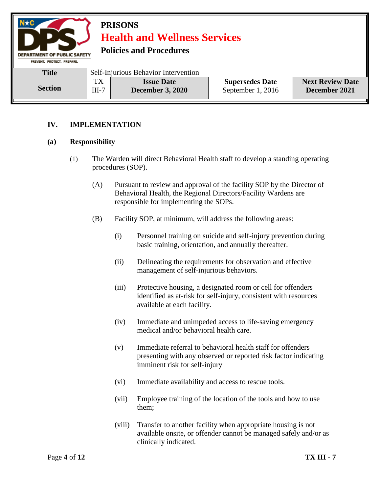

### **IV. IMPLEMENTATION**

#### **(a) Responsibility**

- (1) The Warden will direct Behavioral Health staff to develop a standing operating procedures (SOP).
	- (A) Pursuant to review and approval of the facility SOP by the Director of Behavioral Health, the Regional Directors/Facility Wardens are responsible for implementing the SOPs.
	- (B) Facility SOP, at minimum, will address the following areas:
		- (i) Personnel training on suicide and self-injury prevention during basic training, orientation, and annually thereafter.
		- (ii) Delineating the requirements for observation and effective management of self-injurious behaviors.
		- (iii) Protective housing, a designated room or cell for offenders identified as at-risk for self-injury, consistent with resources available at each facility.
		- (iv) Immediate and unimpeded access to life-saving emergency medical and/or behavioral health care.
		- (v) Immediate referral to behavioral health staff for offenders presenting with any observed or reported risk factor indicating imminent risk for self-injury
		- (vi) Immediate availability and access to rescue tools.
		- (vii) Employee training of the location of the tools and how to use them;
		- (viii) Transfer to another facility when appropriate housing is not available onsite, or offender cannot be managed safely and/or as clinically indicated.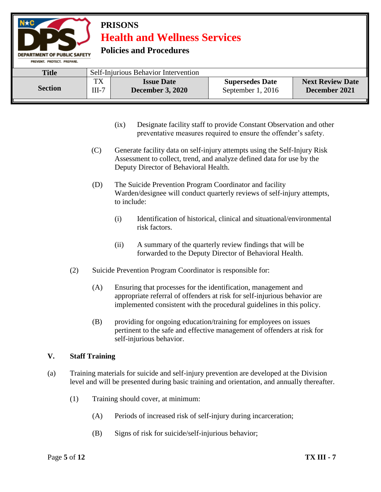**Policies and Procedures** 

| PREVENT, PROTECT, PREPARE, |                                      |                                              |                                             |                                          |
|----------------------------|--------------------------------------|----------------------------------------------|---------------------------------------------|------------------------------------------|
| <b>Title</b>               | Self-Injurious Behavior Intervention |                                              |                                             |                                          |
| <b>Section</b>             | тv<br>$III-7$                        | <b>Issue Date</b><br><b>December 3, 2020</b> | <b>Supersedes Date</b><br>September 1, 2016 | <b>Next Review Date</b><br>December 2021 |

- (ix) Designate facility staff to provide Constant Observation and other preventative measures required to ensure the offender's safety.
- (C) Generate facility data on self-injury attempts using the Self-Injury Risk Assessment to collect, trend, and analyze defined data for use by the Deputy Director of Behavioral Health.
- (D) The Suicide Prevention Program Coordinator and facility Warden/designee will conduct quarterly reviews of self-injury attempts, to include:
	- (i) Identification of historical, clinical and situational/environmental risk factors.
	- (ii) A summary of the quarterly review findings that will be forwarded to the Deputy Director of Behavioral Health.
- (2) Suicide Prevention Program Coordinator is responsible for:
	- (A) Ensuring that processes for the identification, management and appropriate referral of offenders at risk for self-injurious behavior are implemented consistent with the procedural guidelines in this policy.
	- (B) providing for ongoing education/training for employees on issues pertinent to the safe and effective management of offenders at risk for self-injurious behavior.

### **V. Staff Training**

DEPARTMENT OF PUBLIC SAFETY

- (a) Training materials for suicide and self-injury prevention are developed at the Division level and will be presented during basic training and orientation, and annually thereafter.
	- (1) Training should cover, at minimum:
		- (A) Periods of increased risk of self-injury during incarceration;
		- (B) Signs of risk for suicide/self-injurious behavior;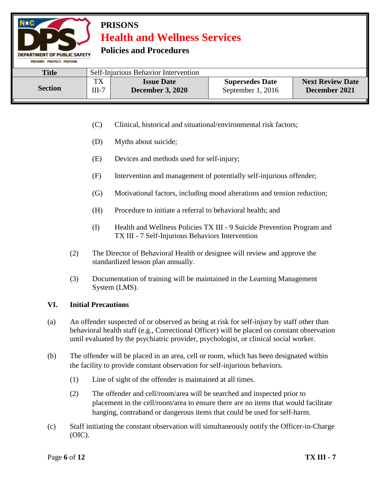**Policies and Procedures** 

PREVENT. PROTECT. PREPARE. Title Self-Injurious Behavior Intervention TX **Issue Date Supersedes Date Next Review Date Section December 3, 2020**  $III-7$ September 1, 2016 **December 2021**

- (C) Clinical, historical and situational/environmental risk factors;
- (D) Myths about suicide;
- (E) Devices and methods used for self-injury;
- (F) Intervention and management of potentially self-injurious offender;
- (G) Motivational factors, including mood alterations and tension reduction;
- (H) Procedure to initiate a referral to behavioral health; and
- (I) Health and Wellness Policies TX III 9 Suicide Prevention Program and TX III - 7 Self-Injurious Behaviors Intervention
- (2) The Director of Behavioral Health or designee will review and approve the standardized lesson plan annually.
- (3) Documentation of training will be maintained in the Learning Management System (LMS).

### **VI. Initial Precautions**

**DEPARTMENT OF PUBLIC SAFETY** 

- (a) An offender suspected of or observed as being at risk for self-injury by staff other than behavioral health staff (e.g., Correctional Officer) will be placed on constant observation until evaluated by the psychiatric provider, psychologist, or clinical social worker.
- (b) The offender will be placed in an area, cell or room, which has been designated within the facility to provide constant observation for self-injurious behaviors.
	- (1) Line of sight of the offender is maintained at all times.
	- (2) The offender and cell/room/area will be searched and inspected prior to placement in the cell/room/area to ensure there are no items that would facilitate hanging, contraband or dangerous items that could be used for self-harm.
- (c) Staff initiating the constant observation will simultaneously notify the Officer-in-Charge (OIC).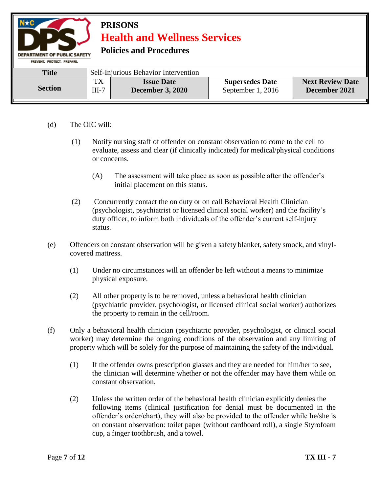| $N \star C$<br><b>PRISONS</b><br><b>Health and Wellness Services</b><br><b>Policies and Procedures</b><br><b>DEPARTMENT OF PUBLIC SAFETY</b><br>PREVENT, PROTECT, PREPARE, |                                      |                                              |                                             |                                          |  |  |
|----------------------------------------------------------------------------------------------------------------------------------------------------------------------------|--------------------------------------|----------------------------------------------|---------------------------------------------|------------------------------------------|--|--|
| <b>Title</b>                                                                                                                                                               | Self-Injurious Behavior Intervention |                                              |                                             |                                          |  |  |
| <b>Section</b>                                                                                                                                                             | TX<br>$III-7$                        | <b>Issue Date</b><br><b>December 3, 2020</b> | <b>Supersedes Date</b><br>September 1, 2016 | <b>Next Review Date</b><br>December 2021 |  |  |

- (d) The OIC will:
	- (1) Notify nursing staff of offender on constant observation to come to the cell to evaluate, assess and clear (if clinically indicated) for medical/physical conditions or concerns.
		- (A) The assessment will take place as soon as possible after the offender's initial placement on this status.
	- (2) Concurrently contact the on duty or on call Behavioral Health Clinician (psychologist, psychiatrist or licensed clinical social worker) and the facility's duty officer, to inform both individuals of the offender's current self-injury status.
- (e) Offenders on constant observation will be given a safety blanket, safety smock, and vinylcovered mattress.
	- (1) Under no circumstances will an offender be left without a means to minimize physical exposure.
	- (2) All other property is to be removed, unless a behavioral health clinician (psychiatric provider, psychologist, or licensed clinical social worker) authorizes the property to remain in the cell/room.
- (f) Only a behavioral health clinician (psychiatric provider, psychologist, or clinical social worker) may determine the ongoing conditions of the observation and any limiting of property which will be solely for the purpose of maintaining the safety of the individual.
	- (1) If the offender owns prescription glasses and they are needed for him/her to see, the clinician will determine whether or not the offender may have them while on constant observation.
	- (2) Unless the written order of the behavioral health clinician explicitly denies the following items (clinical justification for denial must be documented in the offender's order/chart), they will also be provided to the offender while he/she is on constant observation: toilet paper (without cardboard roll), a single Styrofoam cup, a finger toothbrush, and a towel.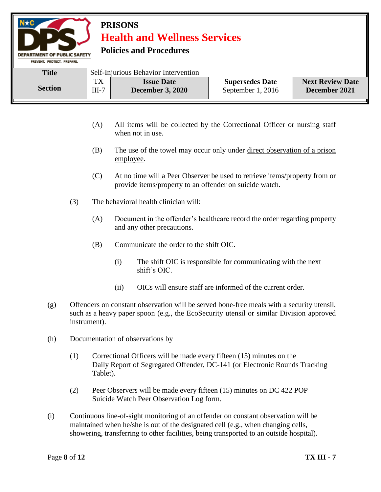**Policies and Procedures** 

DEPARTMENT OF PUBLIC SAFETY

| PREVENT. PROTECT. PREPARE. |                                      |                                              |                                             |                                          |
|----------------------------|--------------------------------------|----------------------------------------------|---------------------------------------------|------------------------------------------|
| <b>Title</b>               | Self-Injurious Behavior Intervention |                                              |                                             |                                          |
| <b>Section</b>             | TX<br>$III-7$                        | <b>Issue Date</b><br><b>December 3, 2020</b> | <b>Supersedes Date</b><br>September 1, 2016 | <b>Next Review Date</b><br>December 2021 |

- (A) All items will be collected by the Correctional Officer or nursing staff when not in use.
- (B) The use of the towel may occur only under direct observation of a prison employee.
- (C) At no time will a Peer Observer be used to retrieve items/property from or provide items/property to an offender on suicide watch.
- (3) The behavioral health clinician will:
	- (A) Document in the offender's healthcare record the order regarding property and any other precautions.
	- (B) Communicate the order to the shift OIC.
		- (i) The shift OIC is responsible for communicating with the next shift's OIC.
		- (ii) OICs will ensure staff are informed of the current order.
- (g) Offenders on constant observation will be served bone-free meals with a security utensil, such as a heavy paper spoon (e.g., the EcoSecurity utensil or similar Division approved instrument).
- (h) Documentation of observations by
	- (1) Correctional Officers will be made every fifteen (15) minutes on the Daily Report of Segregated Offender, DC-141 (or Electronic Rounds Tracking Tablet).
	- (2) Peer Observers will be made every fifteen (15) minutes on DC 422 POP Suicide Watch Peer Observation Log form.
- (i) Continuous line-of-sight monitoring of an offender on constant observation will be maintained when he/she is out of the designated cell (e.g., when changing cells, showering, transferring to other facilities, being transported to an outside hospital).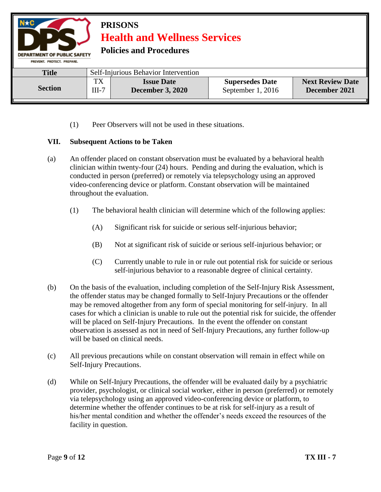

(1) Peer Observers will not be used in these situations.

#### **VII. Subsequent Actions to be Taken**

- (a) An offender placed on constant observation must be evaluated by a behavioral health clinician within twenty-four (24) hours. Pending and during the evaluation, which is conducted in person (preferred) or remotely via telepsychology using an approved video-conferencing device or platform. Constant observation will be maintained throughout the evaluation.
	- (1) The behavioral health clinician will determine which of the following applies:
		- (A) Significant risk for suicide or serious self-injurious behavior;
		- (B) Not at significant risk of suicide or serious self-injurious behavior; or
		- (C) Currently unable to rule in or rule out potential risk for suicide or serious self-injurious behavior to a reasonable degree of clinical certainty.
- (b) On the basis of the evaluation, including completion of the Self-Injury Risk Assessment, the offender status may be changed formally to Self-Injury Precautions or the offender may be removed altogether from any form of special monitoring for self-injury. In all cases for which a clinician is unable to rule out the potential risk for suicide, the offender will be placed on Self-Injury Precautions. In the event the offender on constant observation is assessed as not in need of Self-Injury Precautions, any further follow-up will be based on clinical needs.
- (c) All previous precautions while on constant observation will remain in effect while on Self-Injury Precautions.
- (d) While on Self-Injury Precautions, the offender will be evaluated daily by a psychiatric provider, psychologist, or clinical social worker, either in person (preferred) or remotely via telepsychology using an approved video-conferencing device or platform, to determine whether the offender continues to be at risk for self-injury as a result of his/her mental condition and whether the offender's needs exceed the resources of the facility in question.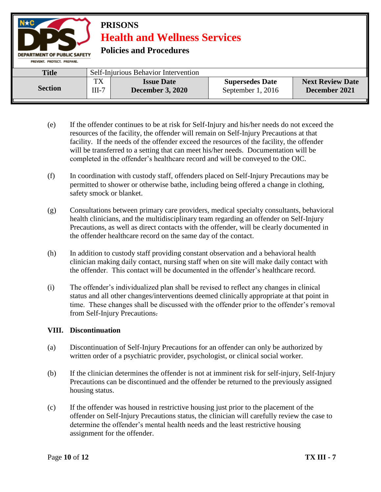#### **PRISONS Health and Wellness Services Policies and Procedures DEPARTMENT OF PUBLIC SAFETY** PREVENT. PROTECT. PREPARE. **Title** Self-Injurious Behavior Intervention TX **Issue Date Supersedes Date Next Review Date Section** III-7 **December 3, 2020** September 1, 2016 **December 2021**

- (e) If the offender continues to be at risk for Self-Injury and his/her needs do not exceed the resources of the facility, the offender will remain on Self-Injury Precautions at that facility. If the needs of the offender exceed the resources of the facility, the offender will be transferred to a setting that can meet his/her needs. Documentation will be completed in the offender's healthcare record and will be conveyed to the OIC.
- (f) In coordination with custody staff, offenders placed on Self-Injury Precautions may be permitted to shower or otherwise bathe, including being offered a change in clothing, safety smock or blanket.
- (g) Consultations between primary care providers, medical specialty consultants, behavioral health clinicians, and the multidisciplinary team regarding an offender on Self-Injury Precautions, as well as direct contacts with the offender, will be clearly documented in the offender healthcare record on the same day of the contact.
- (h) In addition to custody staff providing constant observation and a behavioral health clinician making daily contact, nursing staff when on site will make daily contact with the offender. This contact will be documented in the offender's healthcare record.
- (i) The offender's individualized plan shall be revised to reflect any changes in clinical status and all other changes/interventions deemed clinically appropriate at that point in time. These changes shall be discussed with the offender prior to the offender's removal from Self-Injury Precautions.

#### **VIII. Discontinuation**

- (a) Discontinuation of Self-Injury Precautions for an offender can only be authorized by written order of a psychiatric provider, psychologist, or clinical social worker.
- (b) If the clinician determines the offender is not at imminent risk for self-injury, Self-Injury Precautions can be discontinued and the offender be returned to the previously assigned housing status.
- (c) If the offender was housed in restrictive housing just prior to the placement of the offender on Self-Injury Precautions status, the clinician will carefully review the case to determine the offender's mental health needs and the least restrictive housing assignment for the offender.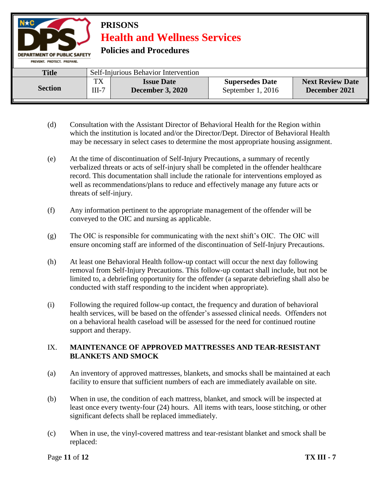**PRISONS Health and Wellness Services Policies and Procedures DEPARTMENT OF PUBLIC SAFETY** PREVENT. PROTECT. PREPARE. Title Self-Injurious Behavior Intervention TX **Issue Date Supersedes Date Next Review Date Section** III-7 **December 3, 2020 December 2021** September 1, 2016

- (d) Consultation with the Assistant Director of Behavioral Health for the Region within which the institution is located and/or the Director/Dept. Director of Behavioral Health may be necessary in select cases to determine the most appropriate housing assignment.
- (e) At the time of discontinuation of Self-Injury Precautions, a summary of recently verbalized threats or acts of self-injury shall be completed in the offender healthcare record. This documentation shall include the rationale for interventions employed as well as recommendations/plans to reduce and effectively manage any future acts or threats of self-injury.
- (f) Any information pertinent to the appropriate management of the offender will be conveyed to the OIC and nursing as applicable.
- (g) The OIC is responsible for communicating with the next shift's OIC. The OIC will ensure oncoming staff are informed of the discontinuation of Self-Injury Precautions.
- (h) At least one Behavioral Health follow-up contact will occur the next day following removal from Self-Injury Precautions. This follow-up contact shall include, but not be limited to, a debriefing opportunity for the offender (a separate debriefing shall also be conducted with staff responding to the incident when appropriate).
- (i) Following the required follow-up contact, the frequency and duration of behavioral health services, will be based on the offender's assessed clinical needs. Offenders not on a behavioral health caseload will be assessed for the need for continued routine support and therapy.

### IX. **MAINTENANCE OF APPROVED MATTRESSES AND TEAR-RESISTANT BLANKETS AND SMOCK**

- (a) An inventory of approved mattresses, blankets, and smocks shall be maintained at each facility to ensure that sufficient numbers of each are immediately available on site.
- (b) When in use, the condition of each mattress, blanket, and smock will be inspected at least once every twenty-four (24) hours. All items with tears, loose stitching, or other significant defects shall be replaced immediately.
- (c) When in use, the vinyl-covered mattress and tear-resistant blanket and smock shall be replaced: